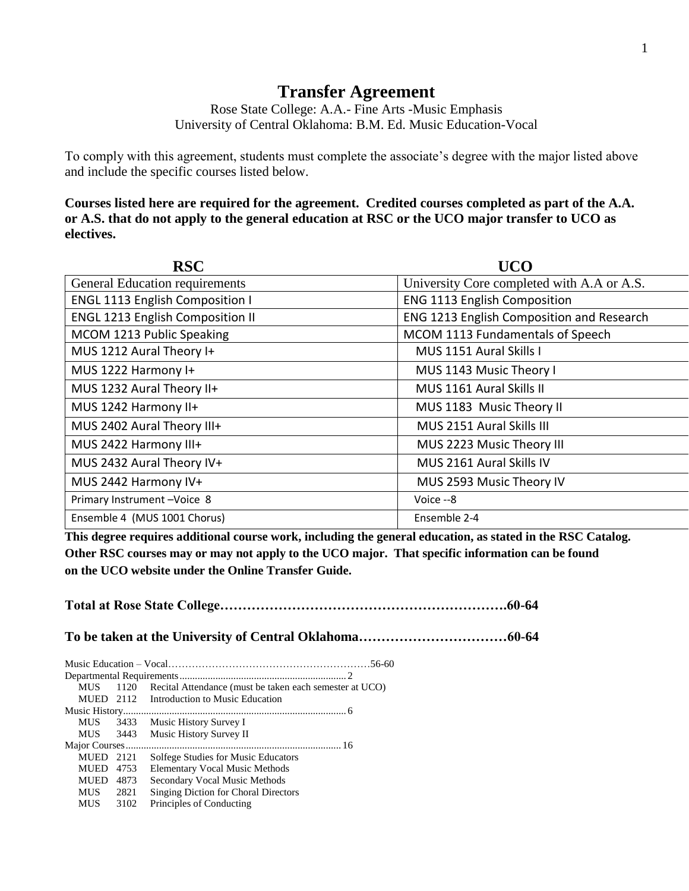## **Transfer Agreement**

Rose State College: A.A.- Fine Arts -Music Emphasis University of Central Oklahoma: B.M. Ed. Music Education-Vocal

To comply with this agreement, students must complete the associate's degree with the major listed above and include the specific courses listed below.

**Courses listed here are required for the agreement. Credited courses completed as part of the A.A. or A.S. that do not apply to the general education at RSC or the UCO major transfer to UCO as electives.**

| <b>RSC</b>                              | <b>UCO</b>                                 |
|-----------------------------------------|--------------------------------------------|
| <b>General Education requirements</b>   | University Core completed with A.A or A.S. |
| <b>ENGL 1113 English Composition I</b>  | <b>ENG 1113 English Composition</b>        |
| <b>ENGL 1213 English Composition II</b> | ENG 1213 English Composition and Research  |
| MCOM 1213 Public Speaking               | MCOM 1113 Fundamentals of Speech           |
| MUS 1212 Aural Theory I+                | MUS 1151 Aural Skills I                    |
| MUS 1222 Harmony I+                     | MUS 1143 Music Theory I                    |
| MUS 1232 Aural Theory II+               | MUS 1161 Aural Skills II                   |
| MUS 1242 Harmony II+                    | MUS 1183 Music Theory II                   |
| MUS 2402 Aural Theory III+              | MUS 2151 Aural Skills III                  |
| MUS 2422 Harmony III+                   | MUS 2223 Music Theory III                  |
| MUS 2432 Aural Theory IV+               | MUS 2161 Aural Skills IV                   |
| MUS 2442 Harmony IV+                    | MUS 2593 Music Theory IV                   |
| Primary Instrument-Voice 8              | Voice -- 8                                 |
| Ensemble 4 (MUS 1001 Chorus)            | Ensemble 2-4                               |

**This degree requires additional course work, including the general education, as stated in the RSC Catalog. Other RSC courses may or may not apply to the UCO major. That specific information can be found on the UCO website under the Online Transfer Guide.**

**Total at Rose State College……………………………………………………….60-64 To be taken at the University of Central Oklahoma……………………………60-64** Music Education – Vocal……………………………………………………56-60 Departmental Requirements................................................................. 2 MUS 1120 Recital Attendance (must be taken each semester at UCO) MUED 2112 Introduction to Music Education Music History....................................................................................... 6 MUS 3433 Music History Survey I MUS 3443 Music History Survey II Major Courses.................................................................................... 16 MUED 2121 Solfege Studies for Music Educators MUED 4753 Elementary Vocal Music Methods MUED 4873 Secondary Vocal Music Methods MUS 2821 Singing Diction for Choral Directors MUS 3102 Principles of Conducting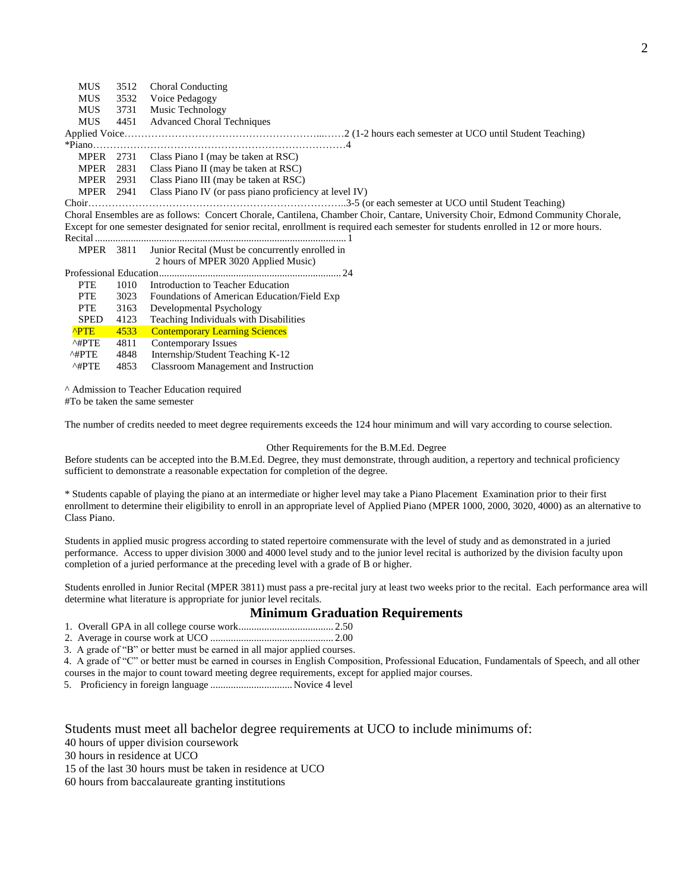MUS 3512 Choral Conducting MUS 3532 Voice Pedagogy<br>MUS 3731 Music Technology Music Technology MUS 4451 Advanced Choral Techniques Applied Voice…………………………………………………...……2 (1-2 hours each semester at UCO until Student Teaching) \*Piano…………………………………………………………………4 MPER 2731 Class Piano I (may be taken at RSC) MPER 2831 Class Piano II (may be taken at RSC) MPER 2931 Class Piano III (may be taken at RSC) MPER 2941 Class Piano IV (or pass piano proficiency at level IV) Choir…………………………………………………………………..3-5 (or each semester at UCO until Student Teaching) Choral Ensembles are as follows: Concert Chorale, Cantilena, Chamber Choir, Cantare, University Choir, Edmond Community Chorale, Except for one semester designated for senior recital, enrollment is required each semester for students enrolled in 12 or more hours. Recital .................................................................................................. 1 MPER 3811 Junior Recital (Must be concurrently enrolled in 2 hours of MPER 3020 Applied Music)

|                         |      | 2 hours of MPER 3020 Applied Music)         |
|-------------------------|------|---------------------------------------------|
| Professional Education. |      | 24                                          |
| <b>PTE</b>              | 1010 | Introduction to Teacher Education           |
| <b>PTE</b>              | 3023 | Foundations of American Education/Field Exp |
| <b>PTE</b>              | 3163 | Developmental Psychology                    |
| <b>SPED</b>             | 4123 | Teaching Individuals with Disabilities      |
| <b>APTE</b>             | 4533 | <b>Contemporary Learning Sciences</b>       |
| $^{\wedge\text{HPTE}}$  | 4811 | Contemporary Issues                         |
| $^{\wedge}$ #PTE        | 4848 | Internship/Student Teaching K-12            |
| $^{\wedge\#PTE}$        | 4853 | Classroom Management and Instruction        |

^ Admission to Teacher Education required

#To be taken the same semester

The number of credits needed to meet degree requirements exceeds the 124 hour minimum and will vary according to course selection.

## Other Requirements for the B.M.Ed. Degree

Before students can be accepted into the B.M.Ed. Degree, they must demonstrate, through audition, a repertory and technical proficiency sufficient to demonstrate a reasonable expectation for completion of the degree.

\* Students capable of playing the piano at an intermediate or higher level may take a Piano Placement Examination prior to their first enrollment to determine their eligibility to enroll in an appropriate level of Applied Piano (MPER 1000, 2000, 3020, 4000) as an alternative to Class Piano.

Students in applied music progress according to stated repertoire commensurate with the level of study and as demonstrated in a juried performance. Access to upper division 3000 and 4000 level study and to the junior level recital is authorized by the division faculty upon completion of a juried performance at the preceding level with a grade of B or higher.

Students enrolled in Junior Recital (MPER 3811) must pass a pre-recital jury at least two weeks prior to the recital. Each performance area will determine what literature is appropriate for junior level recitals.

## **Minimum Graduation Requirements**

1. Overall GPA in all college course work..................................... 2.50

2. Average in course work at UCO ................................................ 2.00

3. A grade of "B" or better must be earned in all major applied courses.

 4. A grade of "C" or better must be earned in courses in English Composition, Professional Education, Fundamentals of Speech, and all other courses in the major to count toward meeting degree requirements, except for applied major courses.

5. Proficiency in foreign language ................................Novice 4 level

## Students must meet all bachelor degree requirements at UCO to include minimums of:

40 hours of upper division coursework

15 of the last 30 hours must be taken in residence at UCO

60 hours from baccalaureate granting institutions

<sup>30</sup> hours in residence at UCO